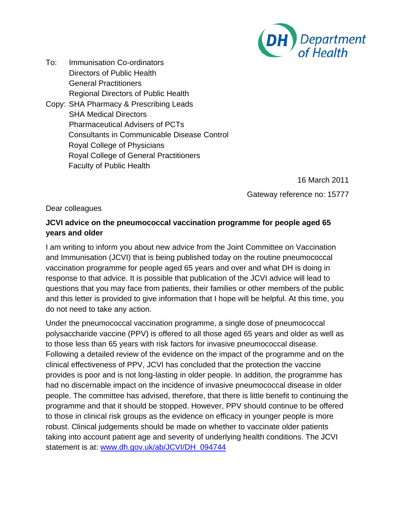

To: Immunisation Co-ordinators Directors of Public Health General Practitioners Regional Directors of Public Health Copy: SHA Pharmacy & Prescribing Leads SHA Medical Directors Pharmaceutical Advisers of PCTs Consultants in Communicable Disease Control Royal College of Physicians Royal College of General Practitioners Faculty of Public Health

> 16 March 2011 Gateway reference no: 15777

Dear colleagues

## **JCVI advice on the pneumococcal vaccination programme for people aged 65 years and older**

I am writing to inform you about new advice from the Joint Committee on Vaccination and Immunisation (JCVI) that is being published today on the routine pneumococcal vaccination programme for people aged 65 years and over and what DH is doing in response to that advice. It is possible that publication of the JCVI advice will lead to questions that you may face from patients, their families or other members of the public and this letter is provided to give information that I hope will be helpful. At this time, you do not need to take any action.

Under the pneumococcal vaccination programme, a single dose of pneumococcal polysaccharide vaccine (PPV) is offered to all those aged 65 years and older as well as to those less than 65 years with risk factors for invasive pneumococcal disease. Following a detailed review of the evidence on the impact of the programme and on the clinical effectiveness of PPV, JCVI has concluded that the protection the vaccine provides is poor and is not long-lasting in older people. In addition, the programme has had no discernable impact on the incidence of invasive pneumococcal disease in older people. The committee has advised, therefore, that there is little benefit to continuing the programme and that it should be stopped. However, PPV should continue to be offered to those in clinical risk groups as the evidence on efficacy in younger people is more robust. Clinical judgements should be made on whether to vaccinate older patients taking into account patient age and severity of underlying health conditions. The JCVI statement is at: [www.dh.gov.uk/ab/JCVI/DH\\_094744](http://www.dh.gov.uk/ab/JCVI/DH_094744)